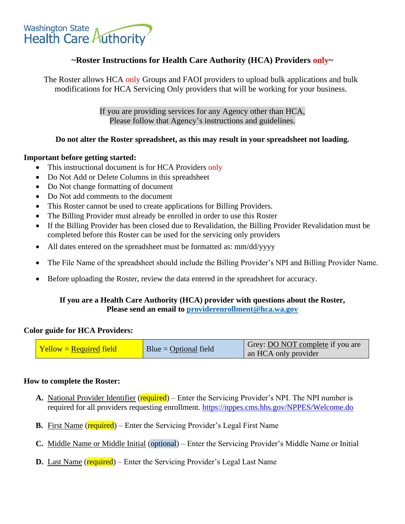

# **~Roster Instructions for Health Care Authority (HCA) Providers only~**

The Roster allows HCA only Groups and FAOI providers to upload bulk applications and bulk modifications for HCA Servicing Only providers that will be working for your business.

> If you are providing services for any Agency other than HCA, Please follow that Agency's instructions and guidelines.

## **Do not alter the Roster spreadsheet, as this may result in your spreadsheet not loading.**

#### **Important before getting started:**

- This instructional document is for HCA Providers only
- Do Not Add or Delete Columns in this spreadsheet
- Do Not change formatting of document
- Do Not add comments to the document
- This Roster cannot be used to create applications for Billing Providers.
- The Billing Provider must already be enrolled in order to use this Roster
- If the Billing Provider has been closed due to Revalidation, the Billing Provider Revalidation must be completed before this Roster can be used for the servicing only providers
- All dates entered on the spreadsheet must be formatted as: mm/dd/yyyy
- The File Name of the spreadsheet should include the Billing Provider's NPI and Billing Provider Name.
- Before uploading the Roster, review the data entered in the spreadsheet for accuracy.

## **If you are a Health Care Authority (HCA) provider with questions about the Roster, Please send an email to [providerenrollment@hca.wa.gov](mailto:providerenrollment@hca.wa.gov)**

#### **Color guide for HCA Providers:**

| $\vert$ Yellow = Required field | $Blue = Optional field$ | Grey: <b>DO NOT</b> complete if you are<br>an HCA only provider |
|---------------------------------|-------------------------|-----------------------------------------------------------------|
|---------------------------------|-------------------------|-----------------------------------------------------------------|

#### **How to complete the Roster:**

- A. National Provider Identifier (required) Enter the Servicing Provider's NPI. The NPI number is required for all providers requesting enrollment.<https://nppes.cms.hhs.gov/NPPES/Welcome.do>
- **B.** First Name (required) Enter the Servicing Provider's Legal First Name
- **C.** Middle Name or Middle Initial (optional) Enter the Servicing Provider's Middle Name or Initial
- **D.** Last Name (**required**) Enter the Servicing Provider's Legal Last Name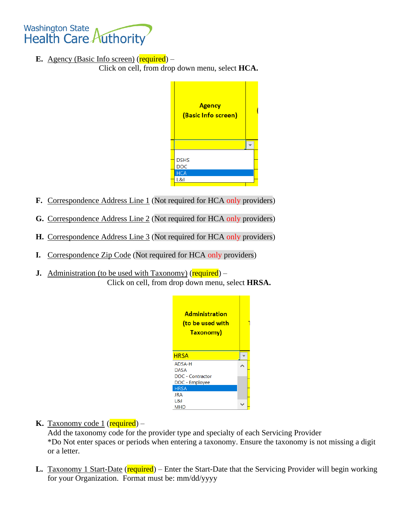

**E.** Agency (Basic Info screen)  $(\text{required})$  –

Click on cell, from drop down menu, select **HCA.** 

| <b>Agency</b><br>(Basic Info screen) |  |
|--------------------------------------|--|
|                                      |  |
| <b>DSHS</b><br><b>DOC</b>            |  |
| <b>HCA</b><br>L&I                    |  |

- **F.** Correspondence Address Line 1 (Not required for HCA only providers)
- **G.** Correspondence Address Line 2 (Not required for HCA only providers)
- **H.** Correspondence Address Line 3 (Not required for HCA only providers)
- **I.** Correspondence Zip Code (Not required for HCA only providers)
- **J.** Administration (to be used with Taxonomy) (required) Click on cell, from drop down menu, select **HRSA.**



**K.** Taxonomy code 1 ( $\mathbf{required}$ ) –

Add the taxonomy code for the provider type and specialty of each Servicing Provider \*Do Not enter spaces or periods when entering a taxonomy. Ensure the taxonomy is not missing a digit or a letter.

**L.** Taxonomy 1 Start-Date (required) – Enter the Start-Date that the Servicing Provider will begin working for your Organization. Format must be: mm/dd/yyyy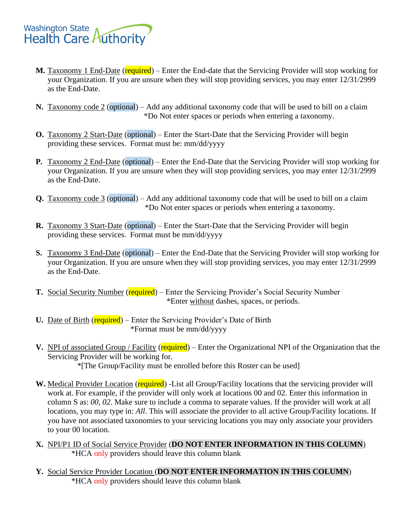

- **M.** Taxonomy 1 End-Date (required) Enter the End-date that the Servicing Provider will stop working for your Organization. If you are unsure when they will stop providing services, you may enter 12/31/2999 as the End-Date.
- **N.** Taxonomy code 2 (optional) Add any additional taxonomy code that will be used to bill on a claim \*Do Not enter spaces or periods when entering a taxonomy.
- **O.** Taxonomy 2 Start-Date (optional) Enter the Start-Date that the Servicing Provider will begin providing these services. Format must be: mm/dd/yyyy
- **P.** Taxonomy 2 End-Date (optional) Enter the End-Date that the Servicing Provider will stop working for your Organization. If you are unsure when they will stop providing services, you may enter 12/31/2999 as the End-Date.
- **Q.** Taxonomy code 3 (optional) Add any additional taxonomy code that will be used to bill on a claim \*Do Not enter spaces or periods when entering a taxonomy.
- **R.** Taxonomy 3 Start-Date (optional) Enter the Start-Date that the Servicing Provider will begin providing these services. Format must be mm/dd/yyyy
- **S.** Taxonomy 3 End-Date (optional) Enter the End-Date that the Servicing Provider will stop working for your Organization. If you are unsure when they will stop providing services, you may enter 12/31/2999 as the End-Date.
- **T.** Social Security Number (required) Enter the Servicing Provider's Social Security Number \*Enter without dashes, spaces, or periods.
- **U.** Date of Birth (required) Enter the Servicing Provider's Date of Birth \*Format must be mm/dd/yyyy
- **V.** NPI of associated Group / Facility (required) Enter the Organizational NPI of the Organization that the Servicing Provider will be working for.

\*[The Group/Facility must be enrolled before this Roster can be used]

- W. Medical Provider Location (required) -List all Group/Facility locations that the servicing provider will work at. For example, if the provider will only work at locations 00 and 02. Enter this information in column S as: *00, 02*. Make sure to include a comma to separate values. If the provider will work at all locations, you may type in: *All*. This will associate the provider to all active Group/Facility locations. If you have not associated taxonomies to your servicing locations you may only associate your providers to your 00 location.
- **X.** NPI/P1 ID of Social Service Provider (**DO NOT ENTER INFORMATION IN THIS COLUMN**) \*HCA only providers should leave this column blank
- **Y.** Social Service Provider Location (**DO NOT ENTER INFORMATION IN THIS COLUMN**) \*HCA only providers should leave this column blank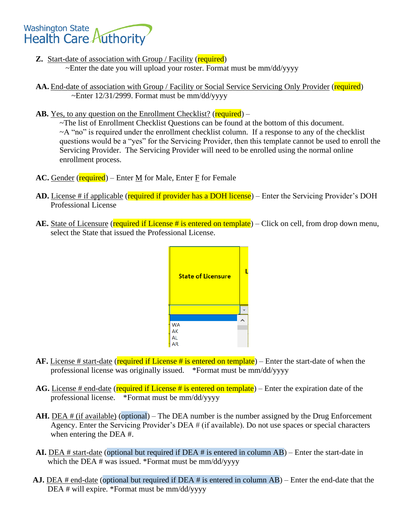

- **Z.** Start-date of association with Group / Facility (required) ~Enter the date you will upload your roster. Format must be mm/dd/yyyy
- AA. End-date of association with Group / Facility or Social Service Servicing Only Provider (required)  $\sim$ Enter 12/31/2999. Format must be mm/dd/yyyy
- **AB.** Yes, to any question on the Enrollment Checklist? (**required**) –

~The list of Enrollment Checklist Questions can be found at the bottom of this document.  $\sim$ A "no" is required under the enrollment checklist column. If a response to any of the checklist questions would be a "yes" for the Servicing Provider, then this template cannot be used to enroll the Servicing Provider. The Servicing Provider will need to be enrolled using the normal online enrollment process.

- **AC.** Gender (required) Enter  $\underline{M}$  for Male, Enter  $\underline{F}$  for Female
- **AD.** License # if applicable (required if provider has a DOH license) Enter the Servicing Provider's DOH Professional License
- AE. State of Licensure (required if License # is entered on template) Click on cell, from drop down menu, select the State that issued the Professional License.



- **AF.** License # start-date (required if License # is entered on template) Enter the start-date of when the professional license was originally issued. \*Format must be mm/dd/yyyy
- AG. License # end-date (required if License # is entered on template) Enter the expiration date of the professional license. \*Format must be mm/dd/yyyy
- **AH.** DEA # (if available) (optional) The DEA number is the number assigned by the Drug Enforcement Agency. Enter the Servicing Provider's DEA # (if available). Do not use spaces or special characters when entering the DEA #.
- **AI.** DEA # start-date (optional but required if DEA # is entered in column AB) Enter the start-date in which the DEA # was issued. \*Format must be mm/dd/yyyy
- **AJ.** DEA # end-date (optional but required if DEA # is entered in column AB) Enter the end-date that the DEA # will expire. \*Format must be mm/dd/yyyy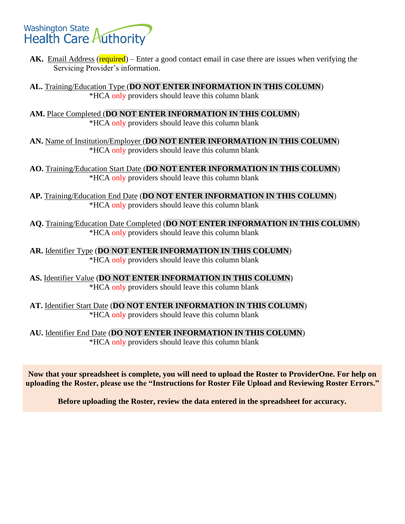# **Washington State Health Care Authority**

**AK.** Email Address (required) – Enter a good contact email in case there are issues when verifying the Servicing Provider's information.

**AL.** Training/Education Type (**DO NOT ENTER INFORMATION IN THIS COLUMN**) \*HCA only providers should leave this column blank

**AM.** Place Completed (**DO NOT ENTER INFORMATION IN THIS COLUMN**) \*HCA only providers should leave this column blank

**AN.** Name of Institution/Employer (**DO NOT ENTER INFORMATION IN THIS COLUMN**) \*HCA only providers should leave this column blank

**AO.** Training/Education Start Date (**DO NOT ENTER INFORMATION IN THIS COLUMN**) \*HCA only providers should leave this column blank

**AP.** Training/Education End Date (**DO NOT ENTER INFORMATION IN THIS COLUMN**) \*HCA only providers should leave this column blank

**AQ.** Training/Education Date Completed (**DO NOT ENTER INFORMATION IN THIS COLUMN**) \*HCA only providers should leave this column blank

**AR.** Identifier Type (**DO NOT ENTER INFORMATION IN THIS COLUMN**) \*HCA only providers should leave this column blank

**AS.** Identifier Value (**DO NOT ENTER INFORMATION IN THIS COLUMN**) \*HCA only providers should leave this column blank

**AT.** Identifier Start Date (**DO NOT ENTER INFORMATION IN THIS COLUMN**) \*HCA only providers should leave this column blank

**AU.** Identifier End Date (**DO NOT ENTER INFORMATION IN THIS COLUMN**) \*HCA only providers should leave this column blank

**Now that your spreadsheet is complete, you will need to upload the Roster to ProviderOne. For help on uploading the Roster, please use the "Instructions for Roster File Upload and Reviewing Roster Errors."**

**Before uploading the Roster, review the data entered in the spreadsheet for accuracy.**